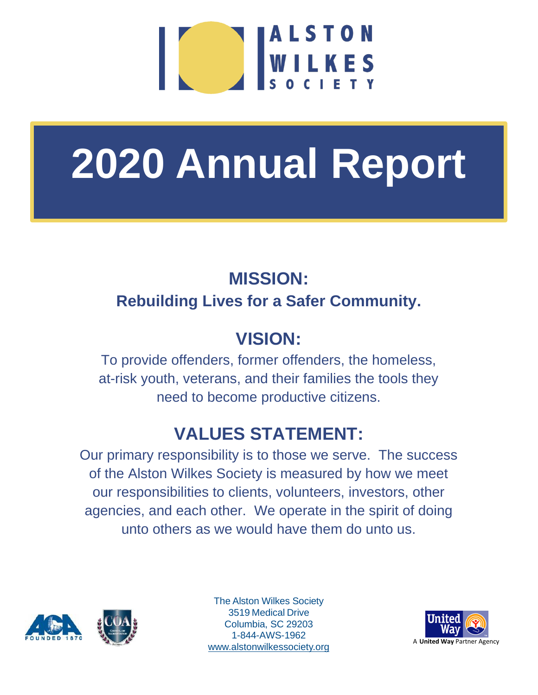

# **2020 Annual Report**

## **MISSION: Rebuilding Lives for a Safer Community.**

## **VISION:**

To provide offenders, former offenders, the homeless, at-risk youth, veterans, and their families the tools they need to become productive citizens.

## **VALUES STATEMENT:**

Our primary responsibility is to those we serve. The success of the Alston Wilkes Society is measured by how we meet our responsibilities to clients, volunteers, investors, other agencies, and each other. We operate in the spirit of doing unto others as we would have them do unto us.



The Alston Wilkes Society 3519 Medical Drive Columbia, SC 29203 1-844-AWS-1962 [www.alstonwilkessociety.org](http://www.alstonwilkessociety.org/)

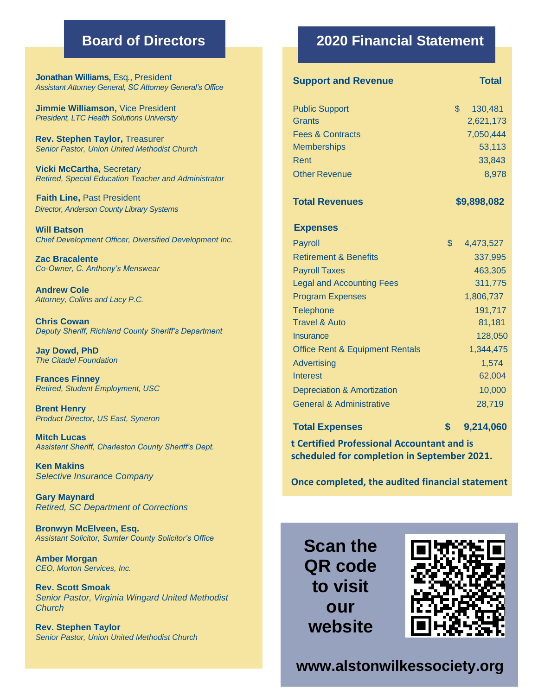**Jonathan Williams,** Esq., President *Assistant Attorney General, SC Attorney General's Office*

**Jimmie Williamson,** Vice President *President, LTC Health Solutions University*

**Rev. Stephen Taylor,** Treasurer *Senior Pastor, Union United Methodist Church*

**Vicki McCartha,** Secretary *Retired, Special Education Teacher and Administrator*

**Faith Line,** Past President  *Director, Anderson County Library Systems*

**Will Batson** *Chief Development Officer, Diversified Development Inc.*

**Zac Bracalente** *Co-Owner, C. Anthony's Menswear*

**Andrew Cole** *Attorney, Collins and Lacy P.C.*

**Chris Cowan** *Deputy Sheriff, Richland County Sheriff's Department*

**Jay Dowd, PhD** *The Citadel Foundation*

**Frances Finney** *Retired, Student Employment, USC*

**Brent Henry** *Product Director, US East, Syneron*

**Mitch Lucas** *Assistant Sheriff, Charleston County Sheriff's Dept.*

**Ken Makins** *Selective Insurance Company*

**Gary Maynard** *Retired, SC Department of Corrections*

**Bronwyn McElveen, Esq.** *Assistant Solicitor, Sumter County Solicitor's Office*

**Amber Morgan** *CEO, Morton Services, Inc.*

**Rev. Scott Smoak** *Senior Pastor, Virginia Wingard United Methodist Church*

**Rev. Stephen Taylor** *Senior Pastor, Union United Methodist Church*

#### **Board of Directors 2020 Financial Statement**

| <b>Support and Revenue</b>                 |              | <b>Total</b> |
|--------------------------------------------|--------------|--------------|
| <b>Public Support</b>                      | $\mathbb{S}$ | 130,481      |
| <b>Grants</b>                              |              | 2,621,173    |
| <b>Fees &amp; Contracts</b>                |              | 7,050,444    |
| <b>Memberships</b>                         |              | 53,113       |
| Rent                                       |              | 33,843       |
| <b>Other Revenue</b>                       |              | 8,978        |
| <b>Total Revenues</b>                      | \$9,898,082  |              |
| <b>Expenses</b>                            |              |              |
| Payroll                                    | $\mathbb{S}$ | 4,473,527    |
| <b>Retirement &amp; Benefits</b>           |              | 337,995      |
| <b>Payroll Taxes</b>                       |              | 463,305      |
| <b>Legal and Accounting Fees</b>           |              | 311,775      |
| <b>Program Expenses</b>                    |              | 1,806,737    |
| <b>Telephone</b>                           |              | 191,717      |
| <b>Travel &amp; Auto</b>                   |              | 81,181       |
| <b>Insurance</b>                           |              | 128,050      |
| <b>Office Rent &amp; Equipment Rentals</b> |              | 1,344,475    |
| <b>Advertising</b>                         |              | 1,574        |
| <b>Interest</b>                            |              | 62,004       |
| <b>Depreciation &amp; Amortization</b>     |              | 10,000       |
| <b>General &amp; Administrative</b>        |              | 28,719       |
| <b>Total Expenses</b>                      | \$           | 9,214,060    |

**t Certified Professional Accountant and is scheduled for completion in September 2021.** 

**Once completed, the audited financial statement** 

**revised 2017 Annual Report upon its completion,** 

**Scan the QR code** *A* **C C C C C C C C C b**  $\overline{\text{out}}$ **website send your request to: Director of Marketing Barketing Architecture** 



**Fax: (803) 540-7223 Toll Free: 1-844-AWS-1962 www.alstonwilkessociety.org**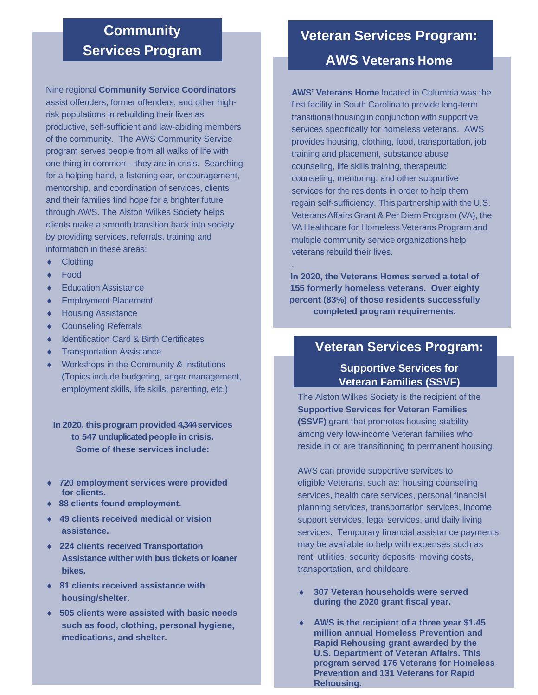#### **Community Services Program**

Nine regional **Community Service Coordinators** assist offenders, former offenders, and other highrisk populations in rebuilding their lives as productive, self-sufficient and law-abiding members of the community. The AWS Community Service program serves people from all walks of life with one thing in common – they are in crisis. Searching for a helping hand, a listening ear, encouragement, mentorship, and coordination of services, clients and their families find hope for a brighter future through AWS. The Alston Wilkes Society helps clients make a smooth transition back into society by providing services, referrals, training and information in these areas:

- ◆ Clothing
- Food
- Education Assistance
- ◆ Employment Placement
- ◆ Housing Assistance
- Counseling Referrals
- ◆ Identification Card & Birth Certificates
- **+** Transportation Assistance
- Workshops in the Community & Institutions (Topics include budgeting, anger management, employment skills, life skills, parenting, etc.)

**In 2020, this program provided 4,344services to 547 unduplicated people in crisis. Some of these services include:**

- **720 employment services were provided for clients.**
- **88 clients found employment.**
- **49 clients received medical or vision assistance.**
- **224 clients received Transportation Assistance wither with bus tickets or loaner bikes.**
- **81 clients received assistance with housing/shelter.**
- **505 clients were assisted with basic needs such as food, clothing, personal hygiene, medications, and shelter.**

#### **Veteran Services Program:**

#### **AWS Veterans Home**

**AWS' Veterans Home** located in Columbia was the first facility in South Carolina to provide long-term transitional housing in conjunction with supportive services specifically for homeless veterans. AWS provides housing, clothing, food, transportation, job training and placement, substance abuse counseling, life skills training, therapeutic counseling, mentoring, and other supportive services for the residents in order to help them regain self-sufficiency. This partnership with the U.S. VeteransAffairs Grant & Per Diem Program (VA), the VA Healthcare for Homeless Veterans Program and multiple community service organizations help veterans rebuild their lives.

**In 2020, the Veterans Homes served a total of 155 formerly homeless veterans. Over eighty percent (83%) of those residents successfully completed program requirements.**

.

#### **Veteran Services Program:**

#### **Supportive Services for Veteran Families (SSVF)**

The Alston Wilkes Society is the recipient of the **Supportive Services for Veteran Families (SSVF)** grant that promotes housing stability among very low-income Veteran families who reside in or are transitioning to permanent housing.

AWS can provide supportive services to eligible Veterans, such as: housing counseling services, health care services, personal financial planning services, transportation services, income support services, legal services, and daily living services. Temporary financial assistance payments may be available to help with expenses such as rent, utilities, security deposits, moving costs, transportation, and childcare.

- **307 Veteran households were served during the 2020 grant fiscal year.**
- **AWS is the recipient of a three year \$1.45 million annual Homeless Prevention and Rapid Rehousing grant awarded by the U.S. Department of Veteran Affairs. This program served 176 Veterans for Homeless Prevention and 131 Veterans for Rapid Rehousing.**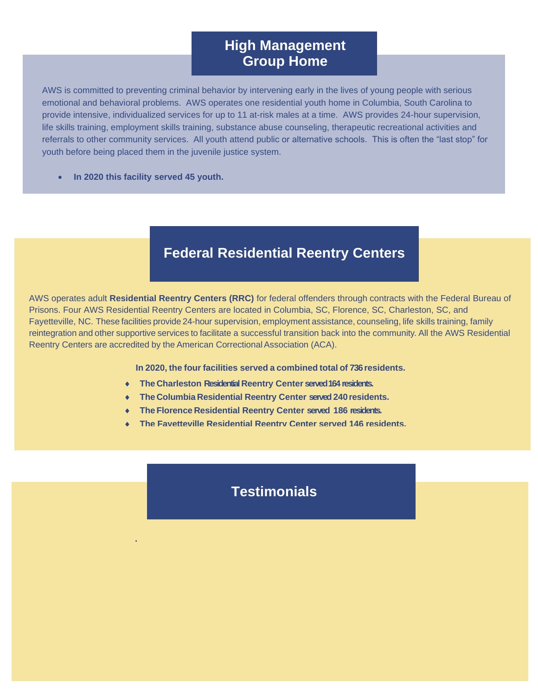#### **High Management Group Home**

AWS is committed to preventing criminal behavior by intervening early in the lives of young people with serious emotional and behavioral problems. AWS operates one residential youth home in Columbia, South Carolina to provide intensive, individualized services for up to 11 at-risk males at a time. AWS provides 24-hour supervision, life skills training, employment skills training, substance abuse counseling, therapeutic recreational activities and referrals to other community services. All youth attend public or alternative schools. This is often the "last stop" for youth before being placed them in the juvenile justice system.

• **In 2020 this facility served 45 youth.**

**.**

### **Federal Residential Reentry Centers**

AWS operates adult **Residential Reentry Centers (RRC)** for federal offenders through contracts with the Federal Bureau of Prisons. Four AWS Residential Reentry Centers are located in Columbia, SC, Florence, SC, Charleston, SC, and Fayetteville, NC. These facilities provide 24-hour supervision, employment assistance, counseling, life skills training, family reintegration and other supportive services to facilitate a successful transition back into the community. All the AWS Residential Reentry Centers are accredited by the American Correctional Association (ACA).

**In 2020, the four facilities served a combined total of 736residents.**

- **FILE** Charleston Residential Reentry Center served 164 residents.
- **The Columbia Residential Reentry Center served240 residents.**
- **The Florence Residential Reentry Center served 186 residents.**
- **The Fayetteville Residential Reentry Center served 146 residents.**

#### **Testimonials**